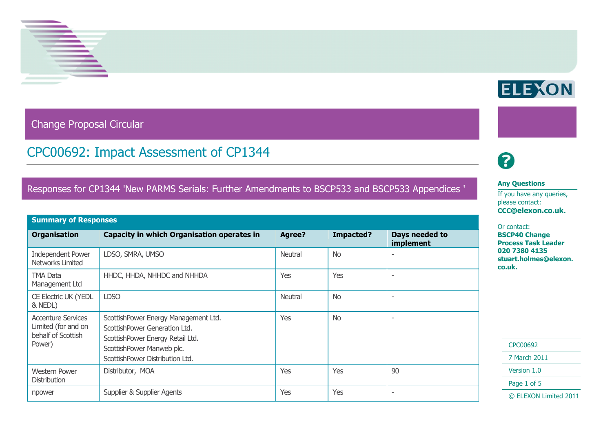

Change Proposal Circular

## CPC00692: Impact Assessment of CP1344

### Responses for CP1344 'New PARMS Serials: Further Amendments to BSCP533 and BSCP533 Appendices '

| <b>Summary of Responses</b>                                                      |                                                                                                                                                                           |         |           |                             |  |  |  |
|----------------------------------------------------------------------------------|---------------------------------------------------------------------------------------------------------------------------------------------------------------------------|---------|-----------|-----------------------------|--|--|--|
| <b>Organisation</b>                                                              | <b>Capacity in which Organisation operates in</b>                                                                                                                         | Agree?  | Impacted? | Days needed to<br>implement |  |  |  |
| <b>Independent Power</b><br>Networks Limited                                     | LDSO, SMRA, UMSO                                                                                                                                                          | Neutral | <b>No</b> |                             |  |  |  |
| TMA Data<br>Management Ltd                                                       | HHDC, HHDA, NHHDC and NHHDA                                                                                                                                               | Yes     | Yes       |                             |  |  |  |
| <b>CE Electric UK (YEDL</b><br>& NEDL)                                           | <b>LDSO</b>                                                                                                                                                               | Neutral | <b>No</b> |                             |  |  |  |
| <b>Accenture Services</b><br>Limited (for and on<br>behalf of Scottish<br>Power) | ScottishPower Energy Management Ltd.<br>ScottishPower Generation Ltd.<br>ScottishPower Energy Retail Ltd.<br>ScottishPower Manweb plc.<br>ScottishPower Distribution Ltd. | Yes     | <b>No</b> | $\overline{\phantom{0}}$    |  |  |  |
| <b>Western Power</b><br><b>Distribution</b>                                      | Distributor, MOA                                                                                                                                                          | Yes     | Yes       | 90                          |  |  |  |
| npower                                                                           | Supplier & Supplier Agents                                                                                                                                                | Yes     | Yes       | $\overline{\phantom{a}}$    |  |  |  |

# 2

#### **Any Questions**

If you have any queries, please contact: **CCC@elexon.co.uk.**

#### Or contact:

**BSCP40 Change Process Task Leader 020 7380 4135 stuart.holmes@elexon. co.uk.**

| CPC00692 |  |  |  |  |
|----------|--|--|--|--|
|----------|--|--|--|--|

7 March 2011

Version 1.0

Page 1 of 5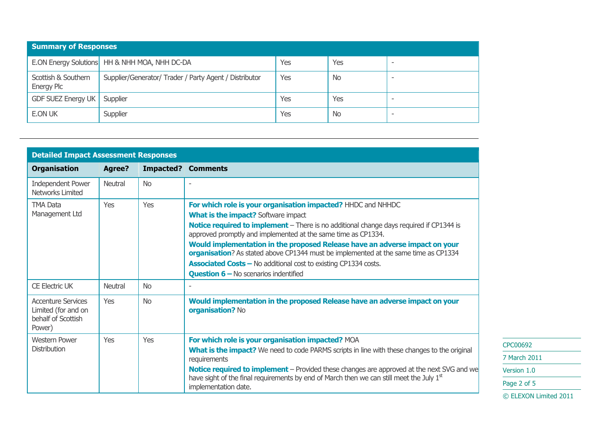| <b>Summary of Responses</b>                                                                        |                                                 |     |           |      |  |  |  |
|----------------------------------------------------------------------------------------------------|-------------------------------------------------|-----|-----------|------|--|--|--|
|                                                                                                    | E.ON Energy Solutions   HH & NHH MOA, NHH DC-DA | Yes | Yes       | $\,$ |  |  |  |
| Supplier/Generator/ Trader / Party Agent / Distributor<br>Scottish & Southern<br><b>Energy Plc</b> |                                                 | Yes | <b>No</b> | $\,$ |  |  |  |
| GDF SUEZ Energy UK                                                                                 | Supplier                                        | Yes | Yes       | $\,$ |  |  |  |
| E.ON UK                                                                                            | Supplier                                        | Yes | <b>No</b> | $\,$ |  |  |  |

| <b>Detailed Impact Assessment Responses</b>                                      |                |            |                                                                                                                                                                                                                                                                                                                                                                                                                                                                                                                                                                               |  |
|----------------------------------------------------------------------------------|----------------|------------|-------------------------------------------------------------------------------------------------------------------------------------------------------------------------------------------------------------------------------------------------------------------------------------------------------------------------------------------------------------------------------------------------------------------------------------------------------------------------------------------------------------------------------------------------------------------------------|--|
| <b>Organisation</b>                                                              | <b>Agree?</b>  | Impacted?  | <b>Comments</b>                                                                                                                                                                                                                                                                                                                                                                                                                                                                                                                                                               |  |
| <b>Independent Power</b><br>Networks Limited                                     | <b>Neutral</b> | <b>No</b>  |                                                                                                                                                                                                                                                                                                                                                                                                                                                                                                                                                                               |  |
| <b>TMA Data</b><br>Management Ltd                                                | Yes            | Yes        | For which role is your organisation impacted? HHDC and NHHDC<br><b>What is the impact?</b> Software impact<br><b>Notice required to implement</b> – There is no additional change days required if CP1344 is<br>approved promptly and implemented at the same time as CP1334.<br>Would implementation in the proposed Release have an adverse impact on your<br>organisation? As stated above CP1344 must be implemented at the same time as CP1334<br><b>Associated Costs - No additional cost to existing CP1334 costs.</b><br><b>Question 6 - No scenarios indentified</b> |  |
| <b>CE Electric UK</b>                                                            | Neutral        | <b>No</b>  |                                                                                                                                                                                                                                                                                                                                                                                                                                                                                                                                                                               |  |
| <b>Accenture Services</b><br>Limited (for and on<br>behalf of Scottish<br>Power) | Yes            | <b>No</b>  | Would implementation in the proposed Release have an adverse impact on your<br>organisation? No                                                                                                                                                                                                                                                                                                                                                                                                                                                                               |  |
| <b>Western Power</b><br><b>Distribution</b>                                      | Yes            | <b>Yes</b> | For which role is your organisation impacted? MOA<br>What is the impact? We need to code PARMS scripts in line with these changes to the original<br>requirements<br><b>Notice required to implement</b> – Provided these changes are approved at the next SVG and we<br>have sight of the final requirements by end of March then we can still meet the July $1st$<br>implementation date.                                                                                                                                                                                   |  |

CPC00692 7 March 2011 Version 1.0 Page 2 of 5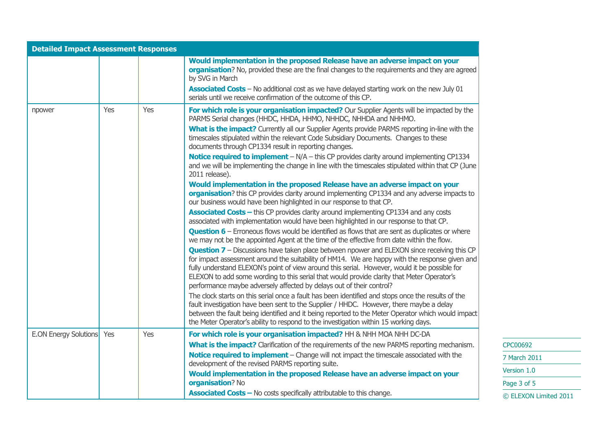| <b>Detailed Impact Assessment Responses</b> |     |     |                                                                                                                                                                                                                                                                                                                                                                                                                                                                                                                                                                                                                                                                                                                                                                                                                                                                                                                                                                                                                                                                                                                                                                                                                                                                                                                                                                                                                                                                                                                                                                                                                                                                                                                                                                                                                                                                                         |
|---------------------------------------------|-----|-----|-----------------------------------------------------------------------------------------------------------------------------------------------------------------------------------------------------------------------------------------------------------------------------------------------------------------------------------------------------------------------------------------------------------------------------------------------------------------------------------------------------------------------------------------------------------------------------------------------------------------------------------------------------------------------------------------------------------------------------------------------------------------------------------------------------------------------------------------------------------------------------------------------------------------------------------------------------------------------------------------------------------------------------------------------------------------------------------------------------------------------------------------------------------------------------------------------------------------------------------------------------------------------------------------------------------------------------------------------------------------------------------------------------------------------------------------------------------------------------------------------------------------------------------------------------------------------------------------------------------------------------------------------------------------------------------------------------------------------------------------------------------------------------------------------------------------------------------------------------------------------------------------|
|                                             |     |     | Would implementation in the proposed Release have an adverse impact on your<br>organisation? No, provided these are the final changes to the requirements and they are agreed<br>by SVG in March<br>Associated Costs - No additional cost as we have delayed starting work on the new July 01<br>serials until we receive confirmation of the outcome of this CP.                                                                                                                                                                                                                                                                                                                                                                                                                                                                                                                                                                                                                                                                                                                                                                                                                                                                                                                                                                                                                                                                                                                                                                                                                                                                                                                                                                                                                                                                                                                       |
| npower                                      | Yes | Yes | For which role is your organisation impacted? Our Supplier Agents will be impacted by the<br>PARMS Serial changes (HHDC, HHDA, HHMO, NHHDC, NHHDA and NHHMO.<br>What is the impact? Currently all our Supplier Agents provide PARMS reporting in-line with the<br>timescales stipulated within the relevant Code Subsidiary Documents. Changes to these<br>documents through CP1334 result in reporting changes.<br><b>Notice required to implement</b> $-N/A$ – this CP provides clarity around implementing CP1334<br>and we will be implementing the change in line with the timescales stipulated within that CP (June<br>2011 release).<br>Would implementation in the proposed Release have an adverse impact on your<br>organisation? this CP provides clarity around implementing CP1334 and any adverse impacts to<br>our business would have been highlighted in our response to that CP.<br><b>Associated Costs - this CP provides clarity around implementing CP1334 and any costs</b><br>associated with implementation would have been highlighted in our response to that CP.<br><b>Question 6</b> – Erroneous flows would be identified as flows that are sent as duplicates or where<br>we may not be the appointed Agent at the time of the effective from date within the flow.<br><b>Question 7</b> - Discussions have taken place between npower and ELEXON since receiving this CP<br>for impact assessment around the suitability of HM14. We are happy with the response given and<br>fully understand ELEXON's point of view around this serial. However, would it be possible for<br>ELEXON to add some wording to this serial that would provide clarity that Meter Operator's<br>performance maybe adversely affected by delays out of their control?<br>The clock starts on this serial once a fault has been identified and stops once the results of the |
|                                             |     |     | fault investigation have been sent to the Supplier / HHDC. However, there maybe a delay<br>between the fault being identified and it being reported to the Meter Operator which would impact<br>the Meter Operator's ability to respond to the investigation within 15 working days.                                                                                                                                                                                                                                                                                                                                                                                                                                                                                                                                                                                                                                                                                                                                                                                                                                                                                                                                                                                                                                                                                                                                                                                                                                                                                                                                                                                                                                                                                                                                                                                                    |
| <b>E.ON Energy Solutions</b>                | Yes | Yes | For which role is your organisation impacted? HH & NHH MOA NHH DC-DA<br>What is the impact? Clarification of the requirements of the new PARMS reporting mechanism.<br>Notice required to implement - Change will not impact the timescale associated with the<br>development of the revised PARMS reporting suite.                                                                                                                                                                                                                                                                                                                                                                                                                                                                                                                                                                                                                                                                                                                                                                                                                                                                                                                                                                                                                                                                                                                                                                                                                                                                                                                                                                                                                                                                                                                                                                     |
|                                             |     |     | Would implementation in the proposed Release have an adverse impact on your<br>organisation? No<br><b>Associated Costs - No costs specifically attributable to this change.</b>                                                                                                                                                                                                                                                                                                                                                                                                                                                                                                                                                                                                                                                                                                                                                                                                                                                                                                                                                                                                                                                                                                                                                                                                                                                                                                                                                                                                                                                                                                                                                                                                                                                                                                         |

CPC00692 7 March 2011 Version 1.0 Page 3 of 5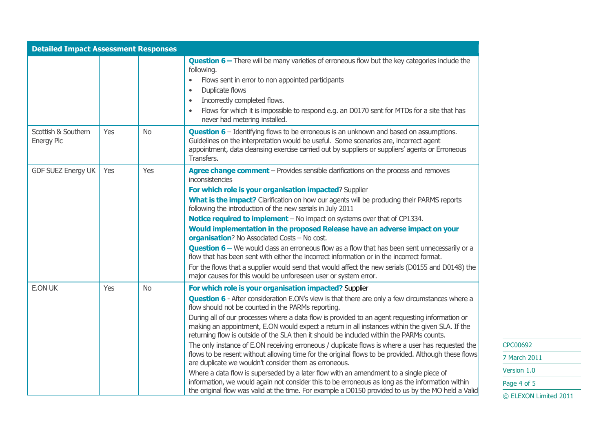| <b>Detailed Impact Assessment Responses</b> |     |           |                                                                                                                                                                                                                                                                                                                                                                                                                                                                                                                                                                       |
|---------------------------------------------|-----|-----------|-----------------------------------------------------------------------------------------------------------------------------------------------------------------------------------------------------------------------------------------------------------------------------------------------------------------------------------------------------------------------------------------------------------------------------------------------------------------------------------------------------------------------------------------------------------------------|
|                                             |     |           | <b>Question 6 - There will be many varieties of erroneous flow but the key categories include the</b><br>following.<br>Flows sent in error to non appointed participants<br>$\bullet$<br>Duplicate flows<br>$\bullet$<br>Incorrectly completed flows.<br>$\bullet$<br>Flows for which it is impossible to respond e.g. an D0170 sent for MTDs for a site that has<br>$\bullet$<br>never had metering installed.                                                                                                                                                       |
| Scottish & Southern<br><b>Energy Plc</b>    | Yes | <b>No</b> | <b>Question 6</b> – Identifying flows to be erroneous is an unknown and based on assumptions.<br>Guidelines on the interpretation would be useful. Some scenarios are, incorrect agent<br>appointment, data cleansing exercise carried out by suppliers or suppliers' agents or Erroneous<br>Transfers.                                                                                                                                                                                                                                                               |
| <b>GDF SUEZ Energy UK</b>                   | Yes | Yes       | Agree change comment - Provides sensible clarifications on the process and removes<br>inconsistencies                                                                                                                                                                                                                                                                                                                                                                                                                                                                 |
|                                             |     |           | For which role is your organisation impacted? Supplier<br><b>What is the impact?</b> Clarification on how our agents will be producing their PARMS reports<br>following the introduction of the new serials in July 2011<br>Notice required to implement - No impact on systems over that of CP1334.<br>Would implementation in the proposed Release have an adverse impact on your                                                                                                                                                                                   |
|                                             |     |           | organisation? No Associated Costs - No cost.<br><b>Question 6</b> – We would class an erroneous flow as a flow that has been sent unnecessarily or a<br>flow that has been sent with either the incorrect information or in the incorrect format.<br>For the flows that a supplier would send that would affect the new serials (D0155 and D0148) the<br>major causes for this would be unforeseen user or system error.                                                                                                                                              |
| <b>E.ON UK</b>                              | Yes | <b>No</b> | For which role is your organisation impacted? Supplier<br><b>Question 6</b> - After consideration E.ON's view is that there are only a few circumstances where a<br>flow should not be counted in the PARMs reporting.<br>During all of our processes where a data flow is provided to an agent requesting information or<br>making an appointment, E.ON would expect a return in all instances within the given SLA. If the<br>returning flow is outside of the SLA then it should be included within the PARMs counts.                                              |
|                                             |     |           | The only instance of E.ON receiving erroneous / duplicate flows is where a user has requested the<br>flows to be resent without allowing time for the original flows to be provided. Although these flows<br>are duplicate we wouldn't consider them as erroneous.<br>Where a data flow is superseded by a later flow with an amendment to a single piece of<br>information, we would again not consider this to be erroneous as long as the information within<br>the original flow was valid at the time. For example a D0150 provided to us by the MO held a Valid |

CPC00692 7 March 2011 Version 1.0 Page 4 of 5